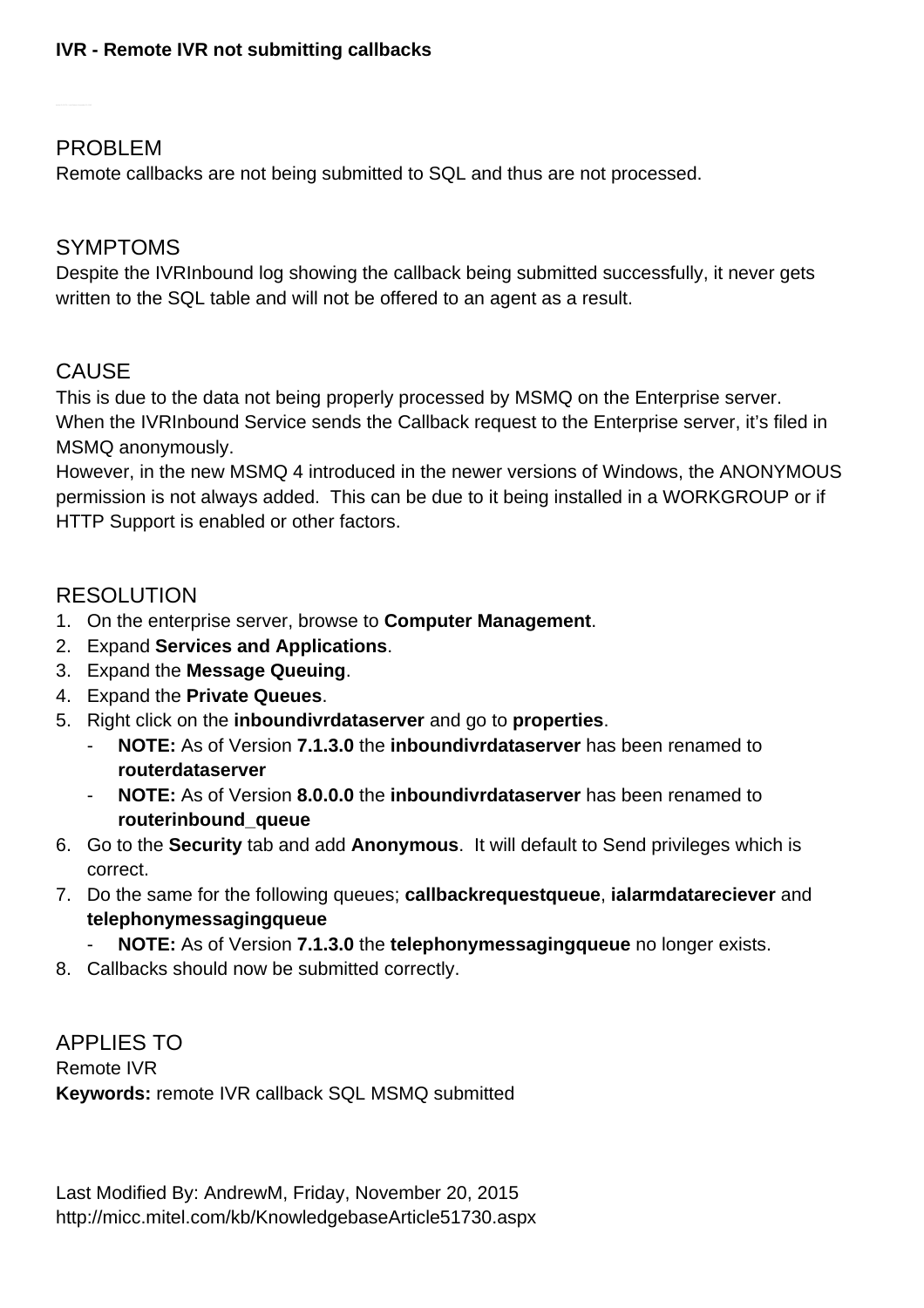## PROBLEM

Remote callbacks are not being submitted to SQL and thus are not processed.

## SYMPTOMS

Despite the IVRInbound log showing the callback being submitted successfully, it never gets written to the SQL table and will not be offered to an agent as a result.

## **CAUSE**

This is due to the data not being properly processed by MSMQ on the Enterprise server. When the IVRInbound Service sends the Callback request to the Enterprise server, it's filed in MSMQ anonymously.

However, in the new MSMQ 4 introduced in the newer versions of Windows, the ANONYMOUS permission is not always added. This can be due to it being installed in a WORKGROUP or if HTTP Support is enabled or other factors.

## RESOLUTION

- 1. On the enterprise server, browse to **Computer Management**.
- 2. Expand **Services and Applications**.
- 3. Expand the **Message Queuing**.
- 4. Expand the **Private Queues**.
- 5. Right click on the **inboundivrdataserver** and go to **properties**.
	- **NOTE:** As of Version **7.1.3.0** the **inboundivrdataserver** has been renamed to **routerdataserver**
	- **NOTE:** As of Version **8.0.0.0** the **inboundivrdataserver** has been renamed to **routerinbound\_queue**
- 6. Go to the **Security** tab and add **Anonymous**. It will default to Send privileges which is correct.
- 7. Do the same for the following queues; **callbackrequestqueue**, **ialarmdatareciever** and **telephonymessagingqueue**
	- **NOTE:** As of Version **7.1.3.0** the **telephonymessagingqueue** no longer exists.
- 8. Callbacks should now be submitted correctly.

APPLIES TO Remote IVR **Keywords:** remote IVR callback SQL MSMQ submitted

Last Modified By: AndrewM, Friday, November 20, 2015 <http://micc.mitel.com/kb/KnowledgebaseArticle51730.aspx>